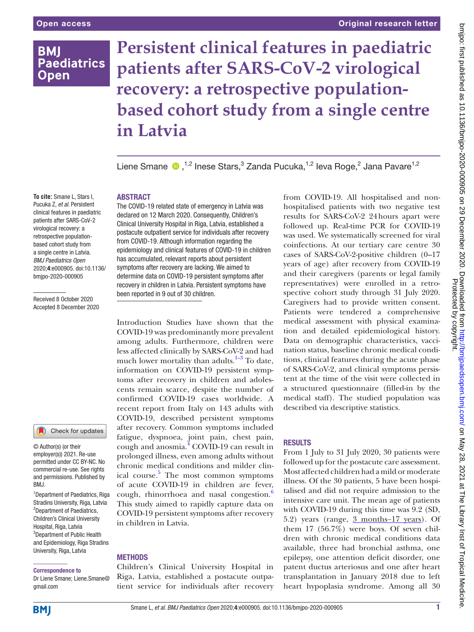## **BMI Paediatrics Open**

# **Persistent clinical features in paediatric patients after SARS-CoV-2 virological recovery: a retrospective populationbased cohort study from a single centre in Latvia**

Liene Smane ®,<sup>1,2</sup> Inese Stars,<sup>3</sup> Zanda Pucuka,<sup>1,2</sup> Ieva Roge,<sup>2</sup> Jana Pavare<sup>1,2</sup>

#### ABSTRACT

**To cite:** Smane L, Stars I, Pucuka Z, *et al*. Persistent clinical features in paediatric patients after SARS-CoV-2 virological recovery: a retrospective populationbased cohort study from a single centre in Latvia. *BMJ Paediatrics Open* 2020;4:e000905. doi:10.1136/ bmjpo-2020-000905

Received 8 October 2020 Accepted 8 December 2020

### Check for updates

© Author(s) (or their employer(s)) 2021. Re-use permitted under CC BY-NC. No commercial re-use. See rights and permissions. Published by BMJ.

1 Department of Paediatrics, Riga Stradins University, Riga, Latvia <sup>2</sup>Department of Paediatrics, Children's Clinical University Hospital, Riga, Latvia <sup>3</sup>Department of Public Health and Epidemiology, Riga Stradins University, Riga, Latvia

#### Correspondence to

Dr Liene Smane; Liene.Smane@ gmail.com

The COVID-19 related state of emergency in Latvia was declared on 12 March 2020. Consequently, Children's Clinical University Hospital in Riga, Latvia, established a postacute outpatient service for individuals after recovery from COVID-19. Although information regarding the epidemiology and clinical features of COVID-19 in children has accumulated, relevant reports about persistent symptoms after recovery are lacking. We aimed to determine data on COVID-19 persistent symptoms after recovery in children in Latvia. Persistent symptoms have been reported in 9 out of 30 children.

Introduction Studies have shown that the COVID-19 was predominantly more prevalent among adults. Furthermore, children were less affected clinically by SARS-CoV-2 and had much lower mortality than adults. $1-3$  To date, information on COVID-19 persistent symptoms after recovery in children and adolescents remain scarce, despite the number of confirmed COVID-19 cases worldwide. A recent report from Italy on 143 adults with COVID-19, described persistent symptoms after recovery. Common symptoms included fatigue, dyspnoea, joint pain, chest pain, cough and anosmia.<sup>4</sup> COVID-19 can result in prolonged illness, even among adults without chronic medical conditions and milder clinical course.<sup>5</sup> The most common symptoms of acute COVID-19 in children are fever, cough, rhinorrhoea and nasal congestion.<sup>6</sup> This study aimed to rapidly capture data on COVID-19 persistent symptoms after recovery in children in Latvia.

#### **METHODS**

Children's Clinical University Hospital in Riga, Latvia, established a postacute outpatient service for individuals after recovery from COVID-19. All hospitalised and nonhospitalised patients with two negative test results for SARS-CoV-2 24hours apart were followed up. Real-time PCR for COVID-19 was used. We systematically screened for viral coinfections. At our tertiary care centre 30 cases of SARS-CoV-2-positive children (0–17 years of age) after recovery from COVID-19 and their caregivers (parents or legal family representatives) were enrolled in a retrospective cohort study through 31 July 2020. Caregivers had to provide written consent. Patients were tendered a comprehensive medical assessment with physical examination and detailed epidemiological history. Data on demographic characteristics, vaccination status, baseline chronic medical conditions, clinical features during the acute phase of SARS-CoV-2, and clinical symptoms persistent at the time of the visit were collected in a structured questionnaire (filled-in by the medical staff). The studied population was described via descriptive statistics.

#### RESULTS

From 1 July to 31 July 2020, 30 patients were followed up for the postacute care assessment. Most affected children had a mild or moderate illness. Of the 30 patients, 5 have been hospitalised and did not require admission to the intensive care unit. The mean age of patients with COVID-19 during this time was 9.2 (SD, 5.2) years (range, 3 months−17 years). Of them  $17$  (56.7%) were boys. Of seven children with chronic medical conditions data available, three had bronchial asthma, one epilepsy, one attention deficit disorder, one patent ductus arteriosus and one after heart transplantation in January 2018 due to left heart hypoplasia syndrome. Among all 30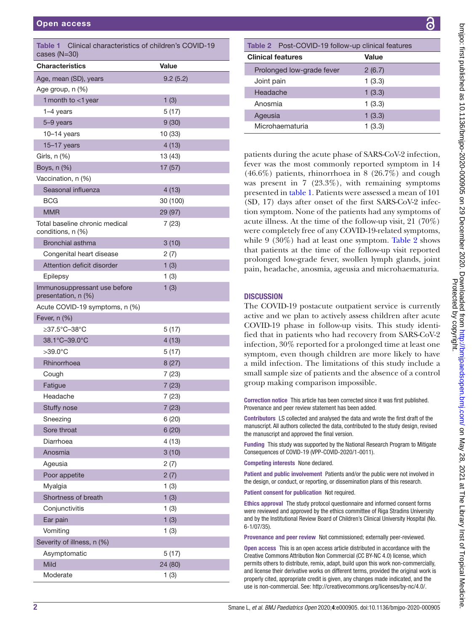<span id="page-1-0"></span>

| Table 1<br>Clinical characteristics of children's COVID-19<br>cases $(N=30)$ |              |
|------------------------------------------------------------------------------|--------------|
| <b>Characteristics</b>                                                       | <b>Value</b> |
| Age, mean (SD), years                                                        | 9.2(5.2)     |
| Age group, n (%)                                                             |              |
| 1 month to <1 year                                                           | 1(3)         |
| 1-4 years                                                                    | 5(17)        |
| 5-9 years                                                                    | 9(30)        |
| 10–14 years                                                                  | 10 (33)      |
| $15-17$ years                                                                | 4(13)        |
| Girls, $n$ $(\%)$                                                            | 13 (43)      |
| Boys, n (%)                                                                  | 17 (57)      |
| Vaccination, n (%)                                                           |              |
| Seasonal influenza                                                           | 4(13)        |
| BCG                                                                          | 30 (100)     |
| <b>MMR</b>                                                                   | 29 (97)      |
| Total baseline chronic medical<br>conditions, n (%)                          | 7 (23)       |
| Bronchial asthma                                                             | 3(10)        |
| Congenital heart disease                                                     | 2(7)         |
| Attention deficit disorder                                                   | 1(3)         |
| Epilepsy                                                                     | 1(3)         |
| Immunosuppressant use before<br>presentation, n (%)                          | 1(3)         |
| Acute COVID-19 symptoms, n (%)                                               |              |
| Fever, n (%)                                                                 |              |
| ≥37.5°C-38°C                                                                 | 5(17)        |
| 38.1°C-39.0°C                                                                | 4(13)        |
| >39.0°C                                                                      | 5(17)        |
| Rhinorrhoea                                                                  | 8(27)        |
| Cough                                                                        | 7 (23)       |
| Fatigue                                                                      | 7(23)        |
| Headache                                                                     | 7 (23)       |
| Stuffy nose                                                                  | 7(23)        |
| Sneezing                                                                     | 6(20)        |
| Sore throat                                                                  | 6(20)        |
| Diarrhoea                                                                    | 4(13)        |
| Anosmia                                                                      | 3(10)        |
| Ageusia                                                                      | 2(7)         |
| Poor appetite                                                                | 2(7)         |
| Myalgia                                                                      | 1(3)         |
| Shortness of breath                                                          | 1(3)         |
| Conjunctivitis                                                               | 1(3)         |
| Ear pain                                                                     | 1(3)         |
| Vomiting                                                                     | 1(3)         |
| Severity of illness, n (%)                                                   |              |
| Asymptomatic                                                                 | 5(17)        |
| Mild                                                                         | 24 (80)      |
| Moderate                                                                     | 1(3)         |

<span id="page-1-1"></span>

| Table 2 Post-COVID-19 follow-up clinical features |        |
|---------------------------------------------------|--------|
| <b>Clinical features</b>                          | Value  |
| Prolonged low-grade fever                         | 2(6.7) |
| Joint pain                                        | 1(3.3) |
| Headache                                          | 1(3.3) |
| Anosmia                                           | 1(3.3) |
| Ageusia                                           | 1(3.3) |
| Microhaematuria                                   | 1(3.3) |

patients during the acute phase of SARS-CoV-2 infection, fever was the most commonly reported symptom in 14 (46.6%) patients, rhinorrhoea in 8 (26.7%) and cough was present in 7 (23.3%), with remaining symptoms presented in [table](#page-1-0) 1. Patients were assessed a mean of 101 (SD, 17) days after onset of the first SARS-CoV-2 infection symptom. None of the patients had any symptoms of acute illness. At the time of the follow-up visit, 21 (70%) were completely free of any COVID-19-related symptoms, while 9 (30%) had at least one symptom. [Table](#page-1-1) 2 shows that patients at the time of the follow-up visit reported prolonged low-grade fever, swollen lymph glands, joint pain, headache, anosmia, ageusia and microhaematuria.

#### **DISCUSSION**

The COVID-19 postacute outpatient service is currently active and we plan to actively assess children after acute COVID-19 phase in follow-up visits. This study identified that in patients who had recovery from SARS-CoV-2 infection, 30% reported for a prolonged time at least one symptom, even though children are more likely to have a mild infection. The limitations of this study include a small sample size of patients and the absence of a control group making comparison impossible.

Correction notice This article has been corrected since it was first published. Provenance and peer review statement has been added.

Contributors LS collected and analysed the data and wrote the first draft of the manuscript. All authors collected the data, contributed to the study design, revised the manuscript and approved the final version.

Funding This study was supported by the National Research Program to Mitigate Consequences of COVID-19 (VPP-COVID-2020/1-0011).

Competing interests None declared.

Patient and public involvement Patients and/or the public were not involved in the design, or conduct, or reporting, or dissemination plans of this research.

Patient consent for publication Not required.

Ethics approval The study protocol questionnaire and informed consent forms were reviewed and approved by the ethics committee of Riga Stradins University and by the Institutional Review Board of Children's Clinical University Hospital (No. 6-1/07/35).

Provenance and peer review Not commissioned; externally peer-reviewed.

Open access This is an open access article distributed in accordance with the Creative Commons Attribution Non Commercial (CC BY-NC 4.0) license, which permits others to distribute, remix, adapt, build upon this work non-commercially, and license their derivative works on different terms, provided the original work is properly cited, appropriate credit is given, any changes made indicated, and the use is non-commercial. See:<http://creativecommons.org/licenses/by-nc/4.0/>.